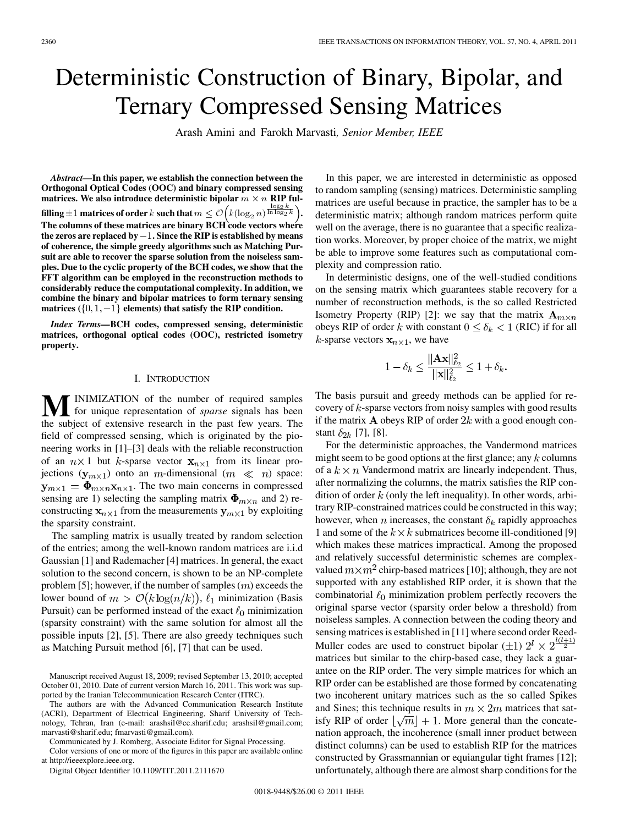# Deterministic Construction of Binary, Bipolar, and Ternary Compressed Sensing Matrices

Arash Amini and Farokh Marvasti*, Senior Member, IEEE*

*Abstract—***In this paper, we establish the connection between the Orthogonal Optical Codes (OOC) and binary compressed sensing** matrices. We also introduce deterministic bipolar  $m \times n$  RIP fulfilling  $\pm 1$  matrices of order  $k$  such that  $m \leq \mathcal{O}\bigl(k(\log_2 n)^{\frac{\ln\log_2 k}{\ln\log_2 k}}\bigr)$ . **The columns of these matrices are binary BCH code vectors where** the zeros are replaced by  $-1$ . Since the RIP is established by means **of coherence, the simple greedy algorithms such as Matching Pursuit are able to recover the sparse solution from the noiseless samples. Due to the cyclic property of the BCH codes, we show that the FFT algorithm can be employed in the reconstruction methods to considerably reduce the computational complexity. In addition, we combine the binary and bipolar matrices to form ternary sensing matrices**  $({0, 1, -1}$  elements) that satisfy the RIP condition.

*Index Terms—***BCH codes, compressed sensing, deterministic matrices, orthogonal optical codes (OOC), restricted isometry property.**

#### I. INTRODUCTION

**M**INIMIZATION of the number of required samples<br>the optical for unique representation of *sparse* signals has been<br>the optical for *sparse* signals in the post for *u* were. The the subject of extensive research in the past few years. The field of compressed sensing, which is originated by the pioneering works in [1]–[3] deals with the reliable reconstruction of an  $n \times 1$  but k-sparse vector  $x_{n \times 1}$  from its linear projections  $(\mathbf{y}_{m \times 1})$  onto an m-dimensional  $(m \ll n)$  space:  $\mathbf{y}_{m \times 1} = \mathbf{\Phi}_{m \times n} \mathbf{x}_{n \times 1}$ . The two main concerns in compressed sensing are 1) selecting the sampling matrix  $\Phi_{m \times n}$  and 2) reconstructing  $x_{n\times 1}$  from the measurements  $y_{m\times 1}$  by exploiting the sparsity constraint.

The sampling matrix is usually treated by random selection of the entries; among the well-known random matrices are i.i.d Gaussian [1] and Rademacher [4] matrices. In general, the exact solution to the second concern, is shown to be an NP-complete problem [5]; however, if the number of samples  $(m)$  exceeds the lower bound of  $m > \mathcal{O}(k \log(n/k))$ ,  $\ell_1$  minimization (Basis Pursuit) can be performed instead of the exact  $\ell_0$  minimization (sparsity constraint) with the same solution for almost all the possible inputs [2], [5]. There are also greedy techniques such as Matching Pursuit method [6], [7] that can be used.

Communicated by J. Romberg, Associate Editor for Signal Processing.

Color versions of one or more of the figures in this paper are available online at http://ieeexplore.ieee.org.

Digital Object Identifier 10.1109/TIT.2011.2111670

In this paper, we are interested in deterministic as opposed to random sampling (sensing) matrices. Deterministic sampling matrices are useful because in practice, the sampler has to be a deterministic matrix; although random matrices perform quite well on the average, there is no guarantee that a specific realization works. Moreover, by proper choice of the matrix, we might be able to improve some features such as computational complexity and compression ratio.

In deterministic designs, one of the well-studied conditions on the sensing matrix which guarantees stable recovery for a number of reconstruction methods, is the so called Restricted Isometry Property (RIP) [2]: we say that the matrix  $\mathbf{A}_{m \times n}$ obeys RIP of order k with constant  $0 \le \delta_k < 1$  (RIC) if for all *k*-sparse vectors  $\mathbf{x}_{n\times 1}$ , we have

$$
1 - \delta_k \le \frac{\|\mathbf{A}\mathbf{x}\|_{\ell_2}^2}{\|\mathbf{x}\|_{\ell_2}^2} \le 1 + \delta_k.
$$

The basis pursuit and greedy methods can be applied for recovery of  $k$ -sparse vectors from noisy samples with good results if the matrix **A** obeys RIP of order  $2k$  with a good enough constant  $\delta_{2k}$  [7], [8].

For the deterministic approaches, the Vandermond matrices might seem to be good options at the first glance; any  $k$  columns of a  $k \times n$  Vandermond matrix are linearly independent. Thus, after normalizing the columns, the matrix satisfies the RIP condition of order  $k$  (only the left inequality). In other words, arbitrary RIP-constrained matrices could be constructed in this way; however, when *n* increases, the constant  $\delta_k$  rapidly approaches 1 and some of the  $k \times k$  submatrices become ill-conditioned [9] which makes these matrices impractical. Among the proposed and relatively successful deterministic schemes are complexvalued  $m \times m^2$  chirp-based matrices [10]; although, they are not supported with any established RIP order, it is shown that the combinatorial  $\ell_0$  minimization problem perfectly recovers the original sparse vector (sparsity order below a threshold) from noiseless samples. A connection between the coding theory and sensing matrices is established in [11] where second order Reed-Muller codes are used to construct bipolar ( $\pm 1$ )  $2^{l} \times 2^{\frac{l(l+1)}{2}}$ matrices but similar to the chirp-based case, they lack a guarantee on the RIP order. The very simple matrices for which an RIP order can be established are those formed by concatenating two incoherent unitary matrices such as the so called Spikes and Sines; this technique results in  $m \times 2m$  matrices that satisfy RIP of order  $\lfloor \sqrt{m} \rfloor + 1$ . More general than the concatenation approach, the incoherence (small inner product between distinct columns) can be used to establish RIP for the matrices constructed by Grassmannian or equiangular tight frames [12]; unfortunately, although there are almost sharp conditions for the

Manuscript received August 18, 2009; revised September 13, 2010; accepted October 01, 2010. Date of current version March 16, 2011. This work was supported by the Iranian Telecommunication Research Center (ITRC).

The authors are with the Advanced Communication Research Institute (ACRI), Department of Electrical Engineering, Sharif University of Technology, Tehran, Iran (e-mail: arashsil@ee.sharif.edu; arashsil@gmail.com; marvasti@sharif.edu; fmarvasti@gmail.com).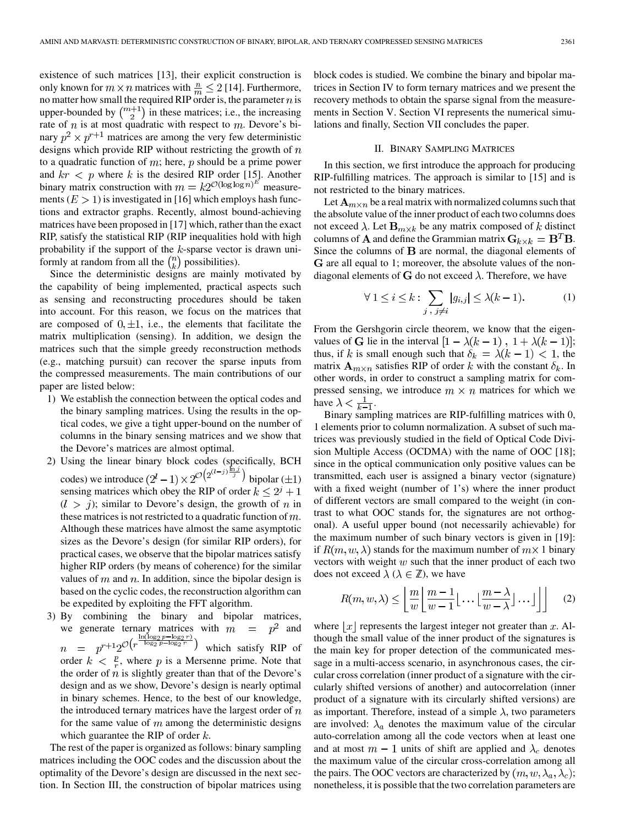existence of such matrices [13], their explicit construction is only known for  $m \times n$  matrices with  $\frac{n}{m} \leq 2$  [14]. Furthermore, no matter how small the required RIP order is, the parameter  $n$  is upper-bounded by  $\binom{m+1}{2}$  in these matrices; i.e., the increasing rate of  $n$  is at most quadratic with respect to  $m$ . Devore's binary  $p^2 \times p^{r+1}$  matrices are among the very few deterministic designs which provide RIP without restricting the growth of  $n$ to a quadratic function of  $m$ ; here,  $p$  should be a prime power and  $kr < p$  where k is the desired RIP order [15]. Another binary matrix construction with  $m = k2^{\mathcal{O}(\log \log n)^E}$  measurements  $(E > 1)$  is investigated in [16] which employs hash functions and extractor graphs. Recently, almost bound-achieving matrices have been proposed in [17] which, rather than the exact RIP, satisfy the statistical RIP (RIP inequalities hold with high probability if the support of the  $k$ -sparse vector is drawn uniformly at random from all the  $\binom{n}{k}$  possibilities).

Since the deterministic designs are mainly motivated by the capability of being implemented, practical aspects such as sensing and reconstructing procedures should be taken into account. For this reason, we focus on the matrices that are composed of  $0, \pm 1$ , i.e., the elements that facilitate the matrix multiplication (sensing). In addition, we design the matrices such that the simple greedy reconstruction methods (e.g., matching pursuit) can recover the sparse inputs from the compressed measurements. The main contributions of our paper are listed below:

- 1) We establish the connection between the optical codes and the binary sampling matrices. Using the results in the optical codes, we give a tight upper-bound on the number of columns in the binary sensing matrices and we show that the Devore's matrices are almost optimal.
- 2) Using the linear binary block codes (specifically, BCH codes) we introduce  $(2^l - 1) \times 2^{\mathcal{O}(2^l - 1)}$  bipolar  $(\pm 1)$ sensing matrices which obey the RIP of order  $k \leq 2^j + 1$  $(l > j)$ ; similar to Devore's design, the growth of n in these matrices is not restricted to a quadratic function of  $m$ . Although these matrices have almost the same asymptotic sizes as the Devore's design (for similar RIP orders), for practical cases, we observe that the bipolar matrices satisfy higher RIP orders (by means of coherence) for the similar values of  $m$  and  $n$ . In addition, since the bipolar design is based on the cyclic codes, the reconstruction algorithm can be expedited by exploiting the FFT algorithm.
- 3) By combining the binary and bipolar matrices, we generate ternary matrices with  $m = p^2$  and which satisfy RIP of order  $k < \frac{p}{r}$ , where p is a Mersenne prime. Note that the order of  $n$  is slightly greater than that of the Devore's design and as we show, Devore's design is nearly optimal in binary schemes. Hence, to the best of our knowledge, the introduced ternary matrices have the largest order of  $n$ for the same value of  $m$  among the deterministic designs which guarantee the RIP of order  $k$ .

The rest of the paper is organized as follows: binary sampling matrices including the OOC codes and the discussion about the optimality of the Devore's design are discussed in the next section. In Section III, the construction of bipolar matrices using

block codes is studied. We combine the binary and bipolar matrices in Section IV to form ternary matrices and we present the recovery methods to obtain the sparse signal from the measurements in Section V. Section VI represents the numerical simulations and finally, Section VII concludes the paper.

#### II. BINARY SAMPLING MATRICES

In this section, we first introduce the approach for producing RIP-fulfilling matrices. The approach is similar to [15] and is not restricted to the binary matrices.

Let  $A_{m \times n}$  be a real matrix with normalized columns such that the absolute value of the inner product of each two columns does not exceed  $\lambda$ . Let  $\mathbf{B}_{m \times k}$  be any matrix composed of k distinct columns of **A** and define the Grammian matrix  $G_{k \times k} = B^T B$ . Since the columns of  $B$  are normal, the diagonal elements of G are all equal to 1; moreover, the absolute values of the nondiagonal elements of G do not exceed  $\lambda$ . Therefore, we have

$$
\forall 1 \le i \le k : \sum_{j \, , \, j \neq i} |g_{i,j}| \le \lambda (k-1). \tag{1}
$$

From the Gershgorin circle theorem, we know that the eigenvalues of G lie in the interval  $[1 - \lambda(k-1), 1 + \lambda(k-1)];$ thus, if k is small enough such that  $\delta_k = \lambda(k - 1) < 1$ , the matrix  $\mathbf{A}_{m \times n}$  satisfies RIP of order k with the constant  $\delta_k$ . In other words, in order to construct a sampling matrix for compressed sensing, we introduce  $m \times n$  matrices for which we have  $\lambda < \frac{1}{k-1}$ .

Binary sampling matrices are RIP-fulfilling matrices with 0, 1 elements prior to column normalization. A subset of such matrices was previously studied in the field of Optical Code Division Multiple Access (OCDMA) with the name of OOC [18]; since in the optical communication only positive values can be transmitted, each user is assigned a binary vector (signature) with a fixed weight (number of 1's) where the inner product of different vectors are small compared to the weight (in contrast to what OOC stands for, the signatures are not orthogonal). A useful upper bound (not necessarily achievable) for the maximum number of such binary vectors is given in [19]: if  $R(m, w, \lambda)$  stands for the maximum number of  $m \times 1$  binary vectors with weight  $w$  such that the inner product of each two does not exceed  $\lambda$  ( $\lambda \in \mathbb{Z}$ ), we have

$$
R(m, w, \lambda) \le \left\lfloor \frac{m}{w} \left\lfloor \frac{m-1}{w-1} \left\lfloor \frac{m-\lambda}{w-\lambda} \right\rfloor \dots \right\rfloor \right\rfloor \tag{2}
$$

where  $|x|$  represents the largest integer not greater than x. Although the small value of the inner product of the signatures is the main key for proper detection of the communicated message in a multi-access scenario, in asynchronous cases, the circular cross correlation (inner product of a signature with the circularly shifted versions of another) and autocorrelation (inner product of a signature with its circularly shifted versions) are as important. Therefore, instead of a simple  $\lambda$ , two parameters are involved:  $\lambda_a$  denotes the maximum value of the circular auto-correlation among all the code vectors when at least one and at most  $m-1$  units of shift are applied and  $\lambda_c$  denotes the maximum value of the circular cross-correlation among all the pairs. The OOC vectors are characterized by  $(m, w, \lambda_a, \lambda_c);$ nonetheless, it is possible that the two correlation parameters are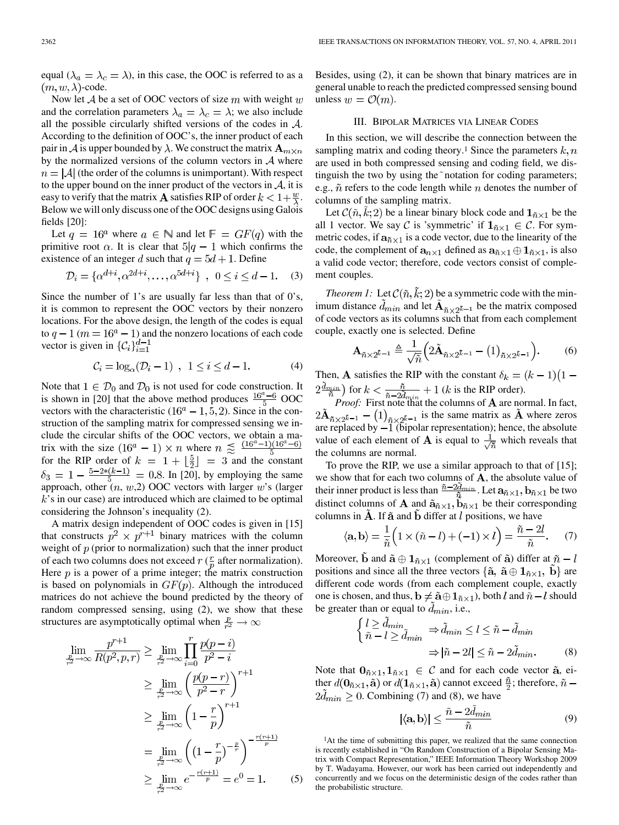equal  $(\lambda_a = \lambda_c = \lambda)$ , in this case, the OOC is referred to as a  $(m, w, \lambda)$ -code.

Now let  $A$  be a set of OOC vectors of size  $m$  with weight  $w$ and the correlation parameters  $\lambda_a = \lambda_c = \lambda$ ; we also include all the possible circularly shifted versions of the codes in  $A$ . According to the definition of OOC's, the inner product of each pair in  $A$  is upper bounded by  $\lambda$ . We construct the matrix  $\mathbf{A}_{m \times n}$ by the normalized versions of the column vectors in  $A$  where  $n = |\mathcal{A}|$  (the order of the columns is unimportant). With respect to the upper bound on the inner product of the vectors in  $A$ , it is easy to verify that the matrix **A** satisfies RIP of order  $k < 1 + \frac{w}{\lambda}$ . Below we will only discuss one of the OOC designs using Galois fields [20]:

Let  $q = 16^a$  where  $a \in \mathbb{N}$  and let  $\mathbb{F} = GF(q)$  with the primitive root  $\alpha$ . It is clear that  $5|q-1$  which confirms the existence of an integer d such that  $q = 5d + 1$ . Define

$$
\mathcal{D}_i = \{ \alpha^{d+i}, \alpha^{2d+i}, \dots, \alpha^{5d+i} \}, \ \ 0 \le i \le d - 1. \tag{3}
$$

Since the number of 1's are usually far less than that of  $0's$ , it is common to represent the OOC vectors by their nonzero locations. For the above design, the length of the codes is equal to  $q - 1$  ( $m = 16<sup>a</sup> - 1$ ) and the nonzero locations of each code vector is given in  $\{\mathcal{C}_i\}_{i=1}^{d-1}$ 

$$
\mathcal{C}_i = \log_{\alpha}(\mathcal{D}_i - 1) \;\; , \;\; 1 \leq i \leq d-1. \eqno(4)
$$

Note that  $1 \in \mathcal{D}_0$  and  $\mathcal{D}_0$  is not used for code construction. It is shown in [20] that the above method produces  $\frac{16^{a}-6}{5}$  OOC vectors with the characteristic  $(16^a - 1, 5, 2)$ . Since in the construction of the sampling matrix for compressed sensing we include the circular shifts of the OOC vectors, we obtain a matrix with the size  $(16^a - 1) \times n$  where  $n \leq \frac{(16^a - 1)(16^a - 6)}{5}$ for the RIP order of  $k = 1 + \lfloor \frac{5}{2} \rfloor = 3$  and the constant  $\delta_3 = 1 - \frac{5-2*(k-1)}{5} = 0.8$ . In [20], by employing the same approach, other  $(n, w, 2)$  OOC vectors with larger  $w$ 's (larger  $k$ 's in our case) are introduced which are claimed to be optimal considering the Johnson's inequality (2).

A matrix design independent of OOC codes is given in [15] that constructs  $p^2 \times p^{r+1}$  binary matrices with the column weight of  $p$  (prior to normalization) such that the inner product of each two columns does not exceed  $r \left( \frac{r}{n} \right)$  after normalization). Here  $p$  is a power of a prime integer; the matrix construction is based on polynomials in  $GF(p)$ . Although the introduced matrices do not achieve the bound predicted by the theory of random compressed sensing, using (2), we show that these structures are asymptotically optimal when  $\frac{p}{r^2} \to \infty$ 

$$
\lim_{\frac{p}{2}\to\infty} \frac{p^{r+1}}{R(p^2, p, r)} \ge \lim_{\frac{p}{r^2}\to\infty} \prod_{i=0}^r \frac{p(p-i)}{p^2 - i}
$$
\n
$$
\ge \lim_{\frac{p}{r^2}\to\infty} \left(\frac{p(p-r)}{p^2 - r}\right)^{r+1}
$$
\n
$$
\ge \lim_{\frac{p}{r^2}\to\infty} \left(1 - \frac{r}{p}\right)^{r+1}
$$
\n
$$
= \lim_{\frac{p}{r^2}\to\infty} \left(\left(1 - \frac{r}{p}\right)^{-\frac{p}{r}}\right)^{-\frac{r(r+1)}{p}}
$$
\n
$$
\ge \lim_{\frac{p}{r^2}\to\infty} e^{-\frac{r(r+1)}{p}} = e^0 = 1.
$$
\n(5)

Besides, using (2), it can be shown that binary matrices are in general unable to reach the predicted compressed sensing bound unless  $w = \mathcal{O}(m)$ .

#### III. BIPOLAR MATRICES VIA LINEAR CODES

In this section, we will describe the connection between the sampling matrix and coding theory.<sup>1</sup> Since the parameters  $k, n$ are used in both compressed sensing and coding field, we distinguish the two by using the notation for coding parameters; e.g.,  $\tilde{n}$  refers to the code length while  $n$  denotes the number of columns of the sampling matrix.

Let  $\mathcal C(\tilde n, \tilde k; 2)$  be a linear binary block code and  $\mathbf 1_{\tilde n \times 1}$  be the all 1 vector. We say C is 'symmetric' if  $1_{\tilde{n}\times 1} \in \mathcal{C}$ . For symmetric codes, if  $a_{\tilde{n} \times 1}$  is a code vector, due to the linearity of the code, the complement of  $a_{n\times 1}$  defined as  $a_{\tilde{n}\times 1}\oplus 1_{\tilde{n}\times 1}$ , is also a valid code vector; therefore, code vectors consist of complement couples.

*Theorem 1:* Let  $\mathcal C(\tilde{n}, \tilde{k}; 2)$  be a symmetric code with the minimum distance  $\tilde{d}_{min}$  and let  $\tilde{A}_{\tilde{n} \times 2^{\tilde{k}-1}}$  be the matrix composed of code vectors as its columns such that from each complement couple, exactly one is selected. Define

$$
\mathbf{A}_{\tilde{n}\times 2^{\tilde{k}-1}} \triangleq \frac{1}{\sqrt{\tilde{n}}} \Big( 2\tilde{\mathbf{A}}_{\tilde{n}\times 2^{\tilde{k}-1}} - (1)_{\tilde{n}\times 2^{\tilde{k}-1}} \Big). \tag{6}
$$

Then, A satisfies the RIP with the constant  $\delta_k = (k-1)(1$ for  $k < \frac{n}{a}$   $\frac{n}{2}$  + 1 (k is the RIP order).

*Proof:* First note that the columns of **A** are normal. In fact, is the same matrix as  $A$  where zeros are replaced by  $-1$  (bipolar representation); hence, the absolute value of each element of **A** is equal to  $\frac{1}{\sqrt{\pi}}$  which reveals that the columns are normal.

To prove the RIP, we use a similar approach to that of [15]; we show that for each two columns of  $A$ , the absolute value of their inner product is less than  $\frac{n-2d_{min}}{\tilde{n}}$ . Let  $\mathbf{a}_{\tilde{n}\times 1}$ ,  $\mathbf{b}_{\tilde{n}\times 1}$  be two distinct columns of **A** and  $\tilde{\mathbf{a}}_{\tilde{n}\times 1}$ ,  $\tilde{\mathbf{b}}_{\tilde{n}\times 1}$  be their corresponding columns in  $A$ . If  $\tilde{a}$  and  $b$  differ at  $l$  positions, we have

$$
\langle \mathbf{a}, \mathbf{b} \rangle = \frac{1}{\tilde{n}} \Big( 1 \times (\tilde{n} - l) + (-1) \times l \Big) = \frac{\tilde{n} - 2l}{\tilde{n}}. \tag{7}
$$

Moreover,  $\tilde{b}$  and  $\tilde{a} \oplus 1_{\tilde{n} \times 1}$  (complement of  $\tilde{a}$ ) differ at  $\tilde{n} - l$ positions and since all the three vectors  $\{\tilde{\mathbf{a}}, \tilde{\mathbf{a}} \oplus \mathbf{1}_{\tilde{n} \times 1}, \tilde{\mathbf{b}}\}$  are different code words (from each complement couple, exactly one is chosen, and thus,  $\mathbf{b} \neq \tilde{\mathbf{a}} \oplus \mathbf{1}_{\tilde{n} \times 1}$ , both l and  $\tilde{n} - l$  should be greater than or equal to  $d_{min}$ , i.e.,

$$
\begin{cases}\n l \ge \tilde{d}_{min} \\
\tilde{n} - l \ge \tilde{d}_{min}\n\end{cases} \Rightarrow \tilde{d}_{min} \le l \le \tilde{n} - \tilde{d}_{min} \\
\Rightarrow |\tilde{n} - 2l| \le \tilde{n} - 2\tilde{d}_{min}.\n\tag{8}
$$

Note that  $0_{\tilde{n}\times 1}, 1_{\tilde{n}\times 1} \in \mathcal{C}$  and for each code vector  $\tilde{a}$ , either  $d(\mathbf{0}_{\tilde{n}\times 1}, \tilde{\mathbf{a}})$  or  $d(\mathbf{1}_{\tilde{n}\times 1}, \tilde{\mathbf{a}})$  cannot exceed  $\frac{\tilde{n}}{2}$ ; therefore,  $\tilde{n}$  –  $2d_{min} \geq 0$ . Combining (7) and (8), we have

$$
|\langle \mathbf{a}, \mathbf{b} \rangle| \le \frac{\tilde{n} - 2\tilde{d}_{min}}{\tilde{n}} \tag{9}
$$

<sup>1</sup>At the time of submitting this paper, we realized that the same connection is recently established in "On Random Construction of a Bipolar Sensing Matrix with Compact Representation," IEEE Information Theory Workshop 2009 by T. Wadayama. However, our work has been carried out independently and concurrently and we focus on the deterministic design of the codes rather than the probabilistic structure.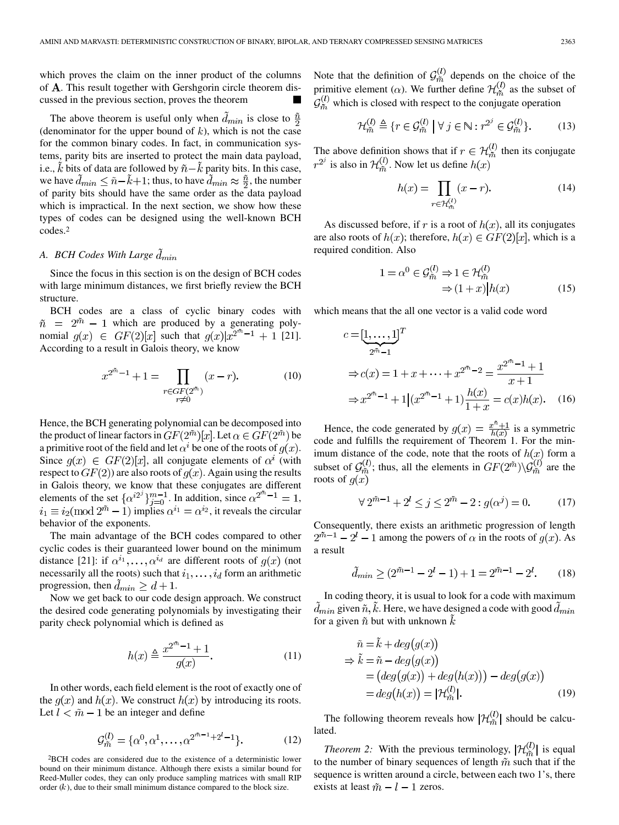which proves the claim on the inner product of the columns of **A**. This result together with Gershgorin circle theorem discussed in the previous section, proves the theorem

The above theorem is useful only when  $\hat{d}_{min}$  is close to  $\frac{\hat{n}}{2}$ (denominator for the upper bound of  $k$ ), which is not the case for the common binary codes. In fact, in communication systems, parity bits are inserted to protect the main data payload, i.e., k bits of data are followed by  $\tilde{n} - k$  parity bits. In this case, we have  $\tilde{d}_{min} \leq \tilde{n} - \tilde{k} + 1$ ; thus, to have  $\tilde{d}_{min} \approx \frac{\tilde{n}}{2}$ , the number of parity bits should have the same order as the data payload which is impractical. In the next section, we show how these types of codes can be designed using the well-known BCH codes.2

## *A. BCH Codes With Large*

Since the focus in this section is on the design of BCH codes with large minimum distances, we first briefly review the BCH structure.

BCH codes are a class of cyclic binary codes with  $\tilde{n} = 2^{\tilde{m}} - 1$  which are produced by a generating polynomial  $g(x) \in GF(2)[x]$  such that  $g(x)|x^{2^{m}-1} + 1$  [21]. According to a result in Galois theory, we know

$$
x^{2^{m}-1} + 1 = \prod_{\substack{r \in GF(2^{m}) \\ r \neq 0}} (x - r).
$$
 (10)

Hence, the BCH generating polynomial can be decomposed into the product of linear factors in  $GF(2^{\tilde{m}})[x]$ . Let  $\alpha \in GF(2^{\tilde{m}})$  be a primitive root of the field and let  $\alpha^{i}$  be one of the roots of  $q(x)$ . Since  $g(x) \in GF(2)[x]$ , all conjugate elements of  $\alpha^i$  (with respect to  $GF(2)$  are also roots of  $q(x)$ . Again using the results in Galois theory, we know that these conjugates are different elements of the set  $\{\alpha^{i2^j}\}_{j=0}^{m-1}$ . In addition, since  $\alpha^{2^m-1} = 1$ ,  $i_1 \equiv i_2 \pmod{2^{\tilde{m}} - 1}$  implies  $\alpha^{i_1} = \alpha^{i_2}$ , it reveals the circular behavior of the exponents.

The main advantage of the BCH codes compared to other cyclic codes is their guaranteed lower bound on the minimum distance [21]: if  $\alpha^{i_1}, \ldots, \alpha^{i_d}$  are different roots of  $g(x)$  (not necessarily all the roots) such that  $i_1, \ldots, i_d$  form an arithmetic progression, then  $d_{min} \ge d + 1$ .

Now we get back to our code design approach. We construct the desired code generating polynomials by investigating their parity check polynomial which is defined as

$$
h(x) \triangleq \frac{x^{2^m - 1} + 1}{g(x)}.\tag{11}
$$

In other words, each field element is the root of exactly one of the  $q(x)$  and  $h(x)$ . We construct  $h(x)$  by introducing its roots. Let  $l < \tilde{m} - 1$  be an integer and define

$$
\mathcal{G}_{\tilde{m}}^{(l)} = \{ \alpha^0, \alpha^1, \dots, \alpha^{2^{\tilde{m}-1}+2^l-1} \}.
$$
 (12)

2BCH codes are considered due to the existence of a deterministic lower bound on their minimum distance. Although there exists a similar bound for Reed-Muller codes, they can only produce sampling matrices with small RIP order  $(k)$ , due to their small minimum distance compared to the block size.

Note that the definition of  $\mathcal{G}_{\tilde{m}}^{(t)}$  depends on the choice of the primitive element ( $\alpha$ ). We further define  $\mathcal{H}_{\tilde{m}}^{(t)}$  as the subset of  $\mathcal{G}_{\tilde{m}}^{(l)}$  which is closed with respect to the conjugate operation

$$
\mathcal{H}_{\tilde{m}}^{(l)} \triangleq \{r \in \mathcal{G}_{\tilde{m}}^{(l)} \mid \forall j \in \mathbb{N} : r^{2^j} \in \mathcal{G}_{\tilde{m}}^{(l)}\}.
$$
 (13)

The above definition shows that if  $r \in \mathcal{H}_{\tilde{m}}^{(l)}$  then its conjugate  $r^{2^j}$  is also in  $\mathcal{H}_{\tilde{m}}^{(l)}$ . Now let us define  $h(x)$ 

$$
h(x) = \prod_{r \in \mathcal{H}_{\mathcal{D}_s}^{(l)}} (x - r).
$$
 (14)

As discussed before, if r is a root of  $h(x)$ , all its conjugates are also roots of  $h(x)$ ; therefore,  $h(x) \in GF(2)[x]$ , which is a required condition. Also

$$
1 = \alpha^0 \in \mathcal{G}_{\tilde{m}}^{(l)} \Rightarrow 1 \in \mathcal{H}_{\tilde{m}}^{(l)}
$$
  

$$
\Rightarrow (1+x)|h(x)
$$
 (15)

which means that the all one vector is a valid code word

$$
c = [\underbrace{1, \dots, 1}_{2^{\tilde{m}} - 1}]^T
$$
  
\n
$$
\Rightarrow c(x) = 1 + x + \dots + x^{2^{\tilde{m}} - 2} = \frac{x^{2^{\tilde{m}} - 1} + 1}{x + 1}
$$
  
\n
$$
\Rightarrow x^{2^{\tilde{m}} - 1} + 1 | (x^{2^{\tilde{m}} - 1} + 1) \frac{h(x)}{1 + x} = c(x)h(x). \quad (16)
$$

Hence, the code generated by  $g(x) = \frac{x^{\alpha}+1}{b(x)}$  is a symmetric code and fulfills the requirement of Theorem 1. For the minimum distance of the code, note that the roots of  $h(x)$  form a subset of  $\mathcal{G}_{\tilde{m}}^{(t)}$ ; thus, all the elements in  $GF(2^{\tilde{m}})\backslash \mathcal{G}_{\tilde{m}}^{(t)}$  are the roots of  $g(x)$ 

$$
\forall 2^{\tilde{m}-1} + 2^{l} \le j \le 2^{\tilde{m}} - 2 : g(\alpha^{j}) = 0.
$$
 (17)

Consequently, there exists an arithmetic progression of length  $2^{\tilde{m}-1} - 2^l - 1$  among the powers of  $\alpha$  in the roots of  $g(x)$ . As a result

$$
\tilde{d}_{min} \ge (2^{\tilde{m}-1} - 2^l - 1) + 1 = 2^{\tilde{m}-1} - 2^l. \tag{18}
$$

In coding theory, it is usual to look for a code with maximum  $\tilde{d}_{min}$  given  $\tilde{n}, \tilde{k}$ . Here, we have designed a code with good  $d_{min}$ for a given  $\tilde{n}$  but with unknown k

$$
\tilde{n} = k + deg(g(x))
$$
  
\n
$$
\Rightarrow \tilde{k} = \tilde{n} - deg(g(x))
$$
  
\n
$$
= (deg(g(x)) + deg(h(x))) - deg(g(x))
$$
  
\n
$$
= deg(h(x)) = |\mathcal{H}_{\tilde{m}}^{(l)}|.
$$
\n(19)

The following theorem reveals how  $|\mathcal{H}_{\tilde{m}}^{(l)}|$  should be calculated.

*Theorem 2:* With the previous terminology,  $|\mathcal{H}_{\tilde{m}}^{(l)}|$  is equal to the number of binary sequences of length  $\tilde{m}$  such that if the sequence is written around a circle, between each two 1's, there exists at least  $\tilde{m} - l - 1$  zeros.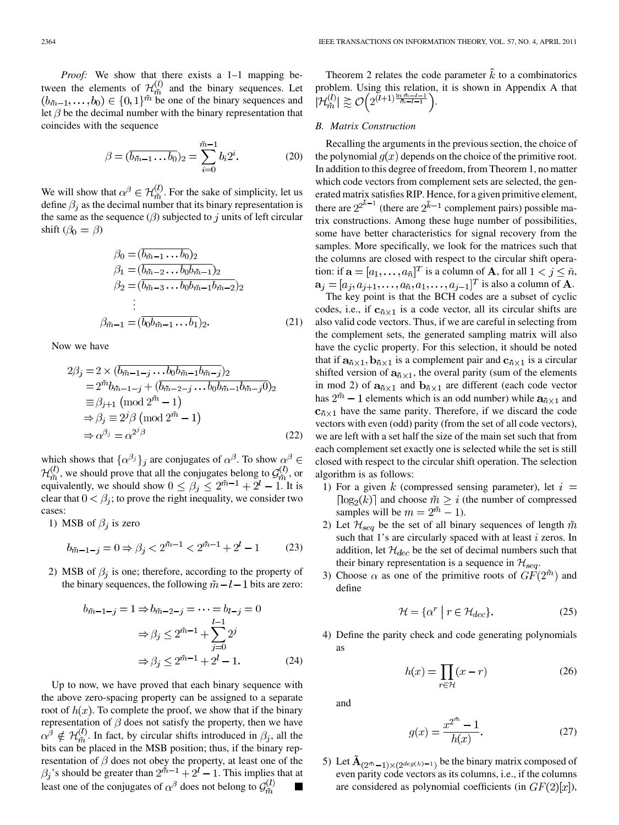*Proof:* We show that there exists a 1–1 mapping between the elements of  $\mathcal{H}_{\tilde{m}}^{(l)}$  and the binary sequences. Let  $(b_{m-1},...,b_0) \in \{0,1\}^{\tilde{m}}$  be one of the binary sequences and let  $\beta$  be the decimal number with the binary representation that coincides with the sequence

$$
\beta = (\overline{b_{\tilde{m}-1} \dots b_0})_2 = \sum_{i=0}^{\tilde{m}-1} b_i 2^i.
$$
 (20)

We will show that  $\alpha^{\beta} \in \mathcal{H}_{\tilde{m}}^{(l)}$ . For the sake of simplicity, let us define  $\beta_i$  as the decimal number that its binary representation is the same as the sequence  $(\beta)$  subjected to j units of left circular shift  $(\beta_0 = \beta)$ 

$$
\beta_0 = (\overline{b_{\tilde{m}-1} \dots b_0})_2 \n\beta_1 = (\overline{b_{\tilde{m}-2} \dots b_0 b_{\tilde{m}-1}})_2 \n\beta_2 = (\overline{b_{\tilde{m}-3} \dots b_0 b_{\tilde{m}-1} b_{\tilde{m}-2}})_2 \n\vdots \n\beta_{\tilde{m}-1} = (\overline{b_0 b_{\tilde{m}-1} \dots b_1})_2.
$$
\n(21)

Now we have

$$
2\beta_j = 2 \times (\overline{b_{\tilde{m}-1-j} \dots b_0 b_{\tilde{m}-1} b_{\tilde{m}-j}})_2
$$
  
\n
$$
= 2^{\tilde{m}} b_{\tilde{m}-1-j} + (\overline{b_{\tilde{m}-2-j} \dots b_0 b_{\tilde{m}-1} b_{\tilde{m}-j} 0})_2
$$
  
\n
$$
\equiv \beta_{j+1} \pmod{2^{\tilde{m}} - 1}
$$
  
\n
$$
\Rightarrow \beta_j \equiv 2^j \beta \pmod{2^{\tilde{m}} - 1}
$$
  
\n
$$
\Rightarrow \alpha^{\beta_j} = \alpha^{2^j \beta}
$$
 (22)

which shows that  $\{\alpha^{\beta_j}\}_j$  are conjugates of  $\alpha^{\beta}$ . To show  $\alpha^{\beta} \in$  $\mathcal{H}_{m}^{(l)}$ , we should prove that all the conjugates belong to  $\mathcal{G}_{m}^{(l)}$ , or equivalently, we should show  $0 \le \beta_j \le 2^{m-1} + 2^l - 1$ . It is clear that  $0 < \beta_i$ ; to prove the right inequality, we consider two cases:

1) MSB of  $\beta_i$  is zero

$$
b_{\tilde{m}-1-j} = 0 \Rightarrow \beta_j < 2^{\tilde{m}-1} < 2^{\tilde{m}-1} + 2^l - 1 \tag{23}
$$

2) MSB of  $\beta_j$  is one; therefore, according to the property of the binary sequences, the following  $\tilde{m} - l - 1$  bits are zero:

$$
b_{\tilde{m}-1-j} = 1 \Rightarrow b_{\tilde{m}-2-j} = \dots = b_{l-j} = 0
$$

$$
\Rightarrow \beta_j \le 2^{\tilde{m}-1} + \sum_{j=0}^{l-1} 2^j
$$

$$
\Rightarrow \beta_j \le 2^{\tilde{m}-1} + 2^l - 1.
$$
(24)

Up to now, we have proved that each binary sequence with the above zero-spacing property can be assigned to a separate root of  $h(x)$ . To complete the proof, we show that if the binary representation of  $\beta$  does not satisfy the property, then we have  $\alpha^{\beta} \notin \mathcal{H}_{\tilde{m}}^{(l)}$ . In fact, by circular shifts introduced in  $\beta_i$ , all the bits can be placed in the MSB position; thus, if the binary representation of  $\beta$  does not obey the property, at least one of the 's should be greater than  $2^{m-1} + 2^l - 1$ . This implies that at least one of the conjugates of  $\alpha^{\beta}$  does not belong to  $\mathcal{G}_{\tilde{m}}^{(l)}$  $\blacksquare$ 

Theorem 2 relates the code parameter  $\tilde{k}$  to a combinatorics problem. Using this relation, it is shown in Appendix A that  $|\mathcal{H}_{\tilde{m}}^{(l)}| \gtrsim \mathcal{O}\left(2^{(l+1)\frac{\ln \tilde{m}-l-1}{\tilde{m}-l-1}}\right).$ 

#### *B. Matrix Construction*

Recalling the arguments in the previous section, the choice of the polynomial  $q(x)$  depends on the choice of the primitive root. In addition to this degree of freedom, from Theorem 1, no matter which code vectors from complement sets are selected, the generated matrix satisfies RIP. Hence, for a given primitive element, there are  $2^{2^{\tilde{k}-1}}$  (there are  $2^{\tilde{k}-1}$  complement pairs) possible matrix constructions. Among these huge number of possibilities, some have better characteristics for signal recovery from the samples. More specifically, we look for the matrices such that the columns are closed with respect to the circular shift operation: if  $\mathbf{a} = [a_1, \dots, a_{\tilde{n}}]^T$  is a column of **A**, for all  $1 < j \leq \tilde{n}$ ,  $\mathbf{a}_i = [a_i, a_{i+1}, \dots, a_{\tilde{n}}, a_1, \dots, a_{i-1}]^T$  is also a column of **A**.

The key point is that the BCH codes are a subset of cyclic codes, i.e., if  $c_{\tilde{n} \times 1}$  is a code vector, all its circular shifts are also valid code vectors. Thus, if we are careful in selecting from the complement sets, the generated sampling matrix will also have the cyclic property. For this selection, it should be noted that if  $a_{\tilde{n} \times 1}$ ,  $b_{\tilde{n} \times 1}$  is a complement pair and  $c_{\tilde{n} \times 1}$  is a circular shifted version of  $a_{\tilde{n} \times 1}$ , the overal parity (sum of the elements in mod 2) of  $\mathbf{a}_{\tilde{n}\times 1}$  and  $\mathbf{b}_{\tilde{n}\times 1}$  are different (each code vector has  $2^{\tilde{m}} - 1$  elements which is an odd number) while  $a_{\tilde{n} \times 1}$  and  $c_{\tilde{n} \times 1}$  have the same parity. Therefore, if we discard the code vectors with even (odd) parity (from the set of all code vectors), we are left with a set half the size of the main set such that from each complement set exactly one is selected while the set is still closed with respect to the circular shift operation. The selection algorithm is as follows:

- 1) For a given k (compressed sensing parameter), let  $i =$  $\lceil \log_2(k) \rceil$  and choose  $\tilde{m} > i$  (the number of compressed samples will be  $m = 2^{\tilde{m}} - 1$ .
- 2) Let  $\mathcal{H}_{seq}$  be the set of all binary sequences of length  $\tilde{m}$ such that 1's are circularly spaced with at least  $i$  zeros. In addition, let  $\mathcal{H}_{dec}$  be the set of decimal numbers such that their binary representation is a sequence in  $\mathcal{H}_{seq}$ .
- 3) Choose  $\alpha$  as one of the primitive roots of  $GF(2^{m})$  and define

$$
\mathcal{H} = \{ \alpha^r \mid r \in \mathcal{H}_{dec} \}. \tag{25}
$$

4) Define the parity check and code generating polynomials as

$$
h(x) = \prod_{r \in \mathcal{H}} (x - r)
$$
 (26)

and

$$
g(x) = \frac{x^{2^m} - 1}{h(x)}.
$$
 (27)

5) Let  $\mathbf{A}_{(2^{\tilde{m}}-1)\times (2^{deg(h)}-1)}$  be the binary matrix composed of even parity code vectors as its columns, i.e., if the columns are considered as polynomial coefficients (in  $GF(2)[x]$ ),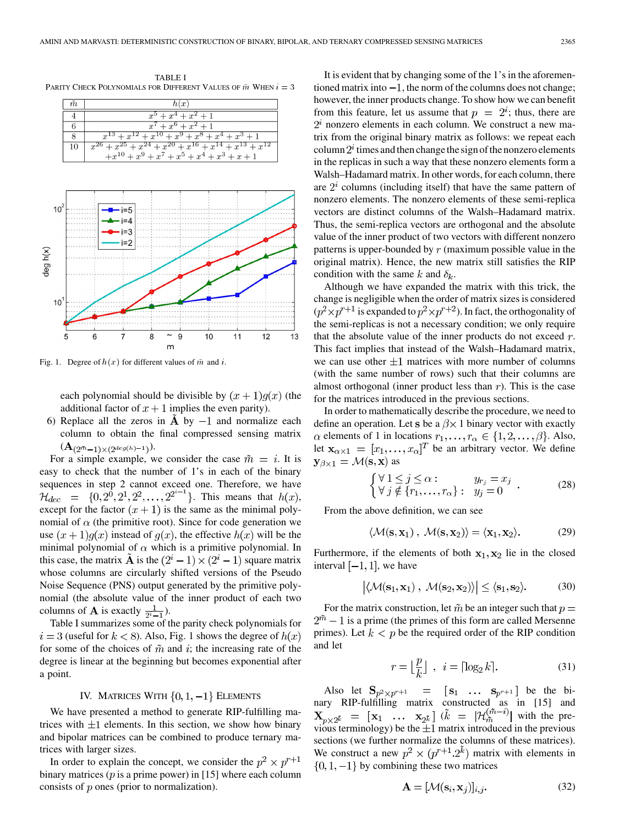



Fig. 1. Degree of  $h(x)$  for different values of  $\bar{m}$  and  $i$ .

each polynomial should be divisible by  $(x + 1)q(x)$  (the additional factor of  $x + 1$  implies the even parity).

6) Replace all the zeros in A by  $-1$  and normalize each column to obtain the final compressed sensing matrix  $({\bf A}_{(2^{\tilde{m}}-1)\times (2^{deg(h)-1})}).$ 

For a simple example, we consider the case  $\tilde{m} = i$ . It is easy to check that the number of 1's in each of the binary sequences in step 2 cannot exceed one. Therefore, we have . This means that  $h(x)$ , except for the factor  $(x + 1)$  is the same as the minimal polynomial of  $\alpha$  (the primitive root). Since for code generation we use  $(x + 1)g(x)$  instead of  $g(x)$ , the effective  $h(x)$  will be the minimal polynomial of  $\alpha$  which is a primitive polynomial. In this case, the matrix **A** is the  $(2^{i} - 1) \times (2^{i} - 1)$  square matrix whose columns are circularly shifted versions of the Pseudo Noise Sequence (PNS) output generated by the primitive polynomial (the absolute value of the inner product of each two columns of **A** is exactly  $\frac{1}{2^i-1}$ ).

Table I summarizes some of the parity check polynomials for  $i = 3$  (useful for  $k < 8$ ). Also, Fig. 1 shows the degree of  $h(x)$ for some of the choices of  $\tilde{m}$  and i; the increasing rate of the degree is linear at the beginning but becomes exponential after a point.

## IV. MATRICES WITH  $\{0, 1, -1\}$  ELEMENTS

We have presented a method to generate RIP-fulfilling matrices with  $\pm 1$  elements. In this section, we show how binary and bipolar matrices can be combined to produce ternary matrices with larger sizes.

In order to explain the concept, we consider the  $p^2 \times p^{r+1}$ binary matrices ( $p$  is a prime power) in [15] where each column consists of  $p$  ones (prior to normalization).

It is evident that by changing some of the 1's in the aforementioned matrix into  $-1$ , the norm of the columns does not change; however, the inner products change. To show how we can benefit from this feature, let us assume that  $p = 2^i$ ; thus, there are  $2<sup>i</sup>$  nonzero elements in each column. We construct a new matrix from the original binary matrix as follows: we repeat each column  $2^i$  times and then change the sign of the nonzero elements in the replicas in such a way that these nonzero elements form a Walsh–Hadamard matrix. In other words, for each column, there are  $2^i$  columns (including itself) that have the same pattern of nonzero elements. The nonzero elements of these semi-replica vectors are distinct columns of the Walsh–Hadamard matrix. Thus, the semi-replica vectors are orthogonal and the absolute value of the inner product of two vectors with different nonzero patterns is upper-bounded by  $r$  (maximum possible value in the original matrix). Hence, the new matrix still satisfies the RIP condition with the same k and  $\delta_k$ .

Although we have expanded the matrix with this trick, the change is negligible when the order of matrix sizes is considered  $(p^2 \times p^{r+1})$  is expanded to  $p^2 \times p^{r+2}$ ). In fact, the orthogonality of the semi-replicas is not a necessary condition; we only require that the absolute value of the inner products do not exceed  $r$ . This fact implies that instead of the Walsh–Hadamard matrix, we can use other  $\pm 1$  matrices with more number of columns (with the same number of rows) such that their columns are almost orthogonal (inner product less than  $r$ ). This is the case for the matrices introduced in the previous sections.

In order to mathematically describe the procedure, we need to define an operation. Let s be a  $\beta \times 1$  binary vector with exactly  $\alpha$  elements of 1 in locations  $r_1, \ldots, r_\alpha \in \{1, 2, \ldots, \beta\}$ . Also, let  $\mathbf{x}_{\alpha \times 1} = [x_1, \dots, x_\alpha]^T$  be an arbitrary vector. We define  $\mathbf{y}_{\beta \times 1} = \mathcal{M}(\mathbf{s}, \mathbf{x})$  as

$$
\begin{cases} \forall 1 \leq j \leq \alpha : & y_{r_j} = x_j \\ \forall j \notin \{r_1, \dots, r_\alpha\} : & y_j = 0 \end{cases} . \tag{28}
$$

From the above definition, we can see

$$
\langle \mathcal{M}(\mathbf{s}, \mathbf{x}_1) \, , \, \mathcal{M}(\mathbf{s}, \mathbf{x}_2) \rangle = \langle \mathbf{x}_1, \mathbf{x}_2 \rangle. \tag{29}
$$

Furthermore, if the elements of both  $x_1, x_2$  lie in the closed interval  $[-1, 1]$ , we have

$$
\left| \langle \mathcal{M}(\mathbf{s}_1, \mathbf{x}_1) \, , \, \mathcal{M}(\mathbf{s}_2, \mathbf{x}_2) \rangle \right| \le \langle \mathbf{s}_1, \mathbf{s}_2 \rangle. \tag{30}
$$

For the matrix construction, let  $\tilde{m}$  be an integer such that  $p =$  $2^{\tilde{m}} - 1$  is a prime (the primes of this form are called Mersenne primes). Let  $k < p$  be the required order of the RIP condition and let

$$
r = \left\lfloor \frac{p}{k} \right\rfloor \,, \ i = \lceil \log_2 k \rceil. \tag{31}
$$

Also let  $S_{p^2\times p^{r+1}} = [s_1 \dots s_{p^{r+1}}]$  be the binary RIP-fulfilling matrix constructed as in [15] and  $(k = |\mathcal{H}_{\tilde{m}}^{(m-i)}|$  with the previous terminology) be the  $\pm 1$  matrix introduced in the previous sections (we further normalize the columns of these matrices). We construct a new  $p^2 \times (p^{r+1} \cdot 2^k)$  matrix with elements in  $\{0, 1, -1\}$  by combining these two matrices

J.

$$
\mathbf{A} = [\mathcal{M}(\mathbf{s}_i, \mathbf{x}_j)]_{i,j}.\tag{32}
$$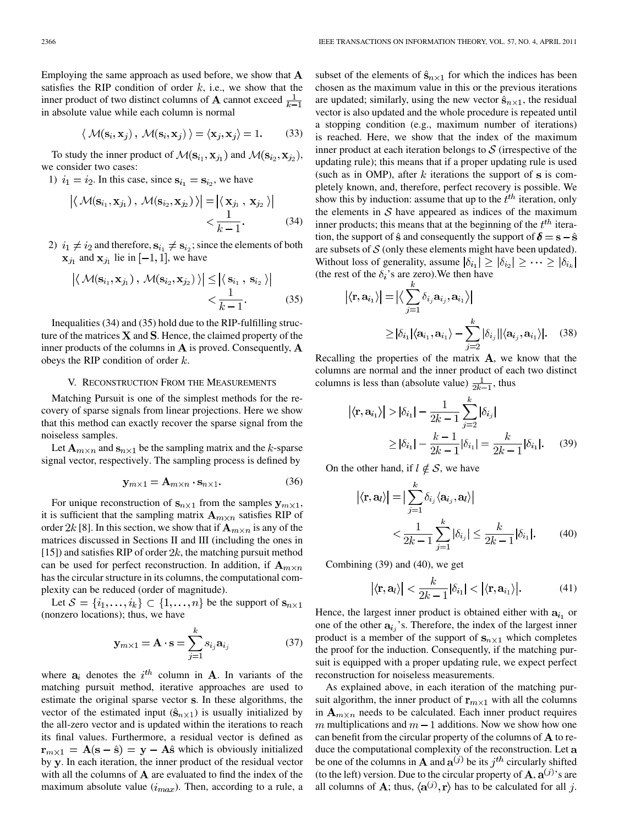Employing the same approach as used before, we show that  $A$ satisfies the RIP condition of order  $k$ , i.e., we show that the inner product of two distinct columns of **A** cannot exceed  $\frac{1}{k-1}$ in absolute value while each column is normal

$$
\langle \mathcal{M}(\mathbf{s}_i, \mathbf{x}_j), \mathcal{M}(\mathbf{s}_i, \mathbf{x}_j) \rangle = \langle \mathbf{x}_j, \mathbf{x}_j \rangle = 1.
$$
 (33)

To study the inner product of  $\mathcal{M}(\mathbf{s}_{i_1}, \mathbf{x}_{i_1})$  and  $\mathcal{M}(\mathbf{s}_{i_2}, \mathbf{x}_{i_2})$ , we consider two cases:

1)  $i_1 = i_2$ . In this case, since  $s_{i_1} = s_{i_2}$ , we have

$$
\left| \langle \mathcal{M}(\mathbf{s}_{i_1}, \mathbf{x}_{j_1}), \mathcal{M}(\mathbf{s}_{i_2}, \mathbf{x}_{j_2}) \rangle \right| = \left| \langle \mathbf{x}_{j_1}, \mathbf{x}_{j_2} \rangle \right|
$$
  

$$
< \frac{1}{k - 1}.
$$
 (34)

2)  $i_1 \neq i_2$  and therefore,  $\mathbf{s}_{i_1} \neq \mathbf{s}_{i_2}$ ; since the elements of both  $\mathbf{x}_{i_1}$  and  $\mathbf{x}_{i_1}$  lie in  $[-1, 1]$ , we have

$$
\left| \langle \mathcal{M}(\mathbf{s}_{i_1}, \mathbf{x}_{j_1}), \mathcal{M}(\mathbf{s}_{i_2}, \mathbf{x}_{j_2}) \rangle \right| \leq \left| \langle \mathbf{s}_{i_1}, \mathbf{s}_{i_2} \rangle \right|
$$
  

$$
< \frac{1}{k-1}.
$$
 (35)

Inequalities (34) and (35) hold due to the RIP-fulfilling structure of the matrices  $X$  and  $S$ . Hence, the claimed property of the inner products of the columns in  $A$  is proved. Consequently,  $A$ obeys the RIP condition of order  $k$ .

#### V. RECONSTRUCTION FROM THE MEASUREMENTS

Matching Pursuit is one of the simplest methods for the recovery of sparse signals from linear projections. Here we show that this method can exactly recover the sparse signal from the noiseless samples.

Let  $A_{m \times n}$  and  $s_{n \times 1}$  be the sampling matrix and the k-sparse signal vector, respectively. The sampling process is defined by

$$
\mathbf{y}_{m \times 1} = \mathbf{A}_{m \times n} \cdot \mathbf{s}_{n \times 1}.\tag{36}
$$

For unique reconstruction of  $s_{n\times 1}$  from the samples  $y_{m\times 1}$ , it is sufficient that the sampling matrix  $A_{m\times n}$  satisfies RIP of order 2k [8]. In this section, we show that if  $A_{m \times n}$  is any of the matrices discussed in Sections II and III (including the ones in [15]) and satisfies RIP of order  $2k$ , the matching pursuit method can be used for perfect reconstruction. In addition, if  $A_{m \times n}$ has the circular structure in its columns, the computational complexity can be reduced (order of magnitude).

Let  $S = \{i_1, \ldots, i_k\} \subset \{1, \ldots, n\}$  be the support of  $\mathbf{s}_{n \times 1}$ (nonzero locations); thus, we have

$$
\mathbf{y}_{m \times 1} = \mathbf{A} \cdot \mathbf{s} = \sum_{j=1}^{k} s_{i_j} \mathbf{a}_{i_j}
$$
 (37)

where  $a_i$  denotes the  $i^{th}$  column in **A**. In variants of the matching pursuit method, iterative approaches are used to estimate the original sparse vector s. In these algorithms, the vector of the estimated input  $(\hat{\mathbf{s}}_{n\times1})$  is usually initialized by the all-zero vector and is updated within the iterations to reach its final values. Furthermore, a residual vector is defined as  $\mathbf{r}_{m \times 1} = \mathbf{A}(\mathbf{s} - \hat{\mathbf{s}}) = \mathbf{y} - \mathbf{A}\hat{\mathbf{s}}$  which is obviously initialized by y. In each iteration, the inner product of the residual vector with all the columns of  $A$  are evaluated to find the index of the maximum absolute value  $(i_{max})$ . Then, according to a rule, a

subset of the elements of  $\hat{\mathbf{s}}_{n\times 1}$  for which the indices has been chosen as the maximum value in this or the previous iterations are updated; similarly, using the new vector  $\hat{\mathbf{s}}_{n \times 1}$ , the residual vector is also updated and the whole procedure is repeated until a stopping condition (e.g., maximum number of iterations) is reached. Here, we show that the index of the maximum inner product at each iteration belongs to  $S$  (irrespective of the updating rule); this means that if a proper updating rule is used (such as in OMP), after k iterations the support of  $s$  is completely known, and, therefore, perfect recovery is possible. We show this by induction: assume that up to the  $t<sup>th</sup>$  iteration, only the elements in  $S$  have appeared as indices of the maximum inner products; this means that at the beginning of the  $t^{th}$  iteration, the support of  $\hat{s}$  and consequently the support of  $\delta = s - \hat{s}$ are subsets of  $S$  (only these elements might have been updated). Without loss of generality, assume  $|\delta_{i_1}| \geq |\delta_{i_2}| \geq \cdots \geq |\delta_{i_k}|$ (the rest of the  $\delta_i$ 's are zero). We then have

$$
\begin{aligned} \left| \langle \mathbf{r}, \mathbf{a}_{i_1} \rangle \right| &= \left| \langle \sum_{j=1}^n \delta_{i_j} \mathbf{a}_{i_j}, \mathbf{a}_{i_1} \rangle \right| \\ &\geq |\delta_{i_1}| \langle \mathbf{a}_{i_1}, \mathbf{a}_{i_1} \rangle - \sum_{j=2}^k |\delta_{i_j}| |\langle \mathbf{a}_{i_j}, \mathbf{a}_{i_1} \rangle|. \end{aligned} \tag{38}
$$

Recalling the properties of the matrix  $A$ , we know that the columns are normal and the inner product of each two distinct columns is less than (absolute value)  $\frac{1}{2k-1}$ , thus

$$
\langle \mathbf{r}, \mathbf{a}_{i_1} \rangle
$$
 >  $|\delta_{i_1}| - \frac{1}{2k - 1} \sum_{j=2}^k |\delta_{i_j}|$   
\n $\ge |\delta_{i_1}| - \frac{k - 1}{2k - 1} |\delta_{i_1}| = \frac{k}{2k - 1} |\delta_{i_1}|.$  (39)

On the other hand, if  $l \notin S$ , we have

$$
\left| \langle \mathbf{r}, \mathbf{a}_l \rangle \right| = \left| \sum_{j=1}^k \delta_{i_j} \langle \mathbf{a}_{i_j}, \mathbf{a}_l \rangle \right|
$$
  

$$
< \frac{1}{2k - 1} \sum_{j=1}^k |\delta_{i_j}| \le \frac{k}{2k - 1} |\delta_{i_1}|. \tag{40}
$$

Combining (39) and (40), we get

$$
|\langle \mathbf{r}, \mathbf{a}_l \rangle| < \frac{k}{2k-1} |\delta_{i_1}| < |\langle \mathbf{r}, \mathbf{a}_{i_1} \rangle|.
$$
\n(41)

Hence, the largest inner product is obtained either with  $a_{i_1}$  or one of the other  $a_{i,j}$ 's. Therefore, the index of the largest inner product is a member of the support of  $s_{n\times 1}$  which completes the proof for the induction. Consequently, if the matching pursuit is equipped with a proper updating rule, we expect perfect reconstruction for noiseless measurements.

As explained above, in each iteration of the matching pursuit algorithm, the inner product of  $\mathbf{r}_{m \times 1}$  with all the columns in  $A_{m \times n}$  needs to be calculated. Each inner product requires m multiplications and  $m-1$  additions. Now we show how one can benefit from the circular property of the columns of  $A$  to reduce the computational complexity of the reconstruction. Let a be one of the columns in **A** and  $\mathbf{a}^{(j)}$  be its  $j^{th}$  circularly shifted (to the left) version. Due to the circular property of  $\mathbf{A}, \mathbf{a}^{(j)}$ 's are all columns of **A**; thus,  $\langle \mathbf{a}^{(j)}, \mathbf{r} \rangle$  has to be calculated for all j.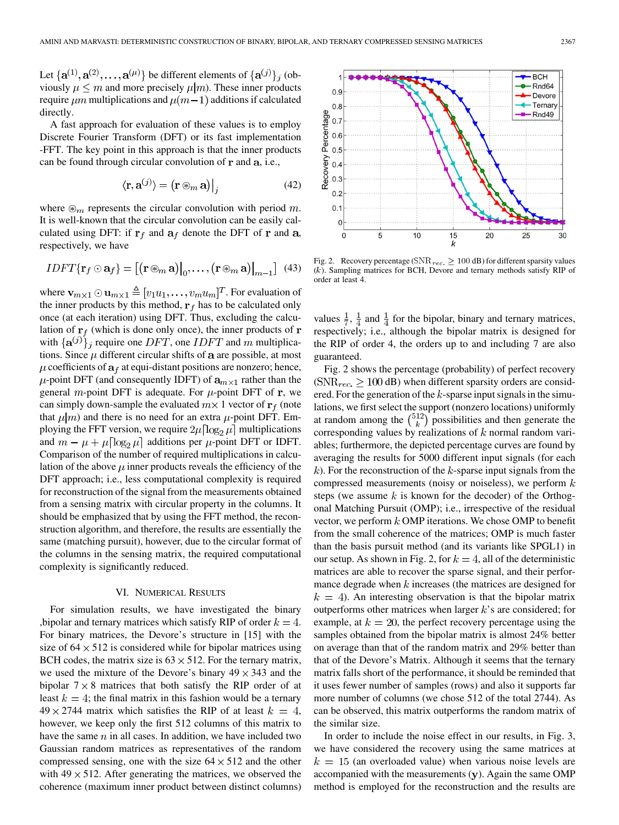Let  $\{a^{(1)}, a^{(2)}, \ldots, a^{(\mu)}\}$  be different elements of  $\{a^{(j)}\}_j$  (obviously  $\mu \leq m$  and more precisely  $\mu|m$ ). These inner products require  $\mu$ m multiplications and  $\mu$ (m – 1) additions if calculated directly.

A fast approach for evaluation of these values is to employ Discrete Fourier Transform (DFT) or its fast implementation -FFT. The key point in this approach is that the inner products can be found through circular convolution of  $\bf{r}$  and  $\bf{a}$ , i.e.,

$$
\langle \mathbf{r}, \mathbf{a}^{(j)} \rangle = \left( \mathbf{r} \circledast_m \mathbf{a} \right) \Big|_{j} \tag{42}
$$

where  $\mathcal{D}_m$  represents the circular convolution with period m. It is well-known that the circular convolution can be easily calculated using DFT: if  $r_f$  and  $a_f$  denote the DFT of r and a, respectively, we have

$$
IDFT\{\mathbf{r}_f \odot \mathbf{a}_f\} = [(\mathbf{r} \circledast_m \mathbf{a})|_0, \ldots, (\mathbf{r} \circledast_m \mathbf{a})|_{m-1}] \tag{43}
$$

where  $\mathbf{v}_{m\times 1}\odot \mathbf{u}_{m\times 1} \triangleq [v_1u_1,\ldots,v_mu_m]^T$ . For evaluation of the inner products by this method,  $\mathbf{r}_f$  has to be calculated only once (at each iteration) using DFT. Thus, excluding the calculation of  $\mathbf{r}_f$  (which is done only once), the inner products of  $\mathbf{r}_f$ with  $\{a^{(j)}\}_j$  require one DFT, one IDFT and m multiplications. Since  $\mu$  different circular shifts of  $a$  are possible, at most  $\mu$  coefficients of  $a_f$  at equi-distant positions are nonzero; hence,  $\mu$ -point DFT (and consequently IDFT) of  $a_{m \times 1}$  rather than the general m-point DFT is adequate. For  $\mu$ -point DFT of r, we can simply down-sample the evaluated  $m \times 1$  vector of  $\mathbf{r}_f$  (note that  $\mu|m$  and there is no need for an extra  $\mu$ -point DFT. Employing the FFT version, we require  $2\mu \log_2 \mu$  multiplications and  $m - \mu + \mu \left[ \log_2 \mu \right]$  additions per  $\mu$ -point DFT or IDFT. Comparison of the number of required multiplications in calculation of the above  $\mu$  inner products reveals the efficiency of the DFT approach; i.e., less computational complexity is required for reconstruction of the signal from the measurements obtained from a sensing matrix with circular property in the columns. It should be emphasized that by using the FFT method, the reconstruction algorithm, and therefore, the results are essentially the same (matching pursuit), however, due to the circular format of the columns in the sensing matrix, the required computational complexity is significantly reduced.

#### VI. NUMERICAL RESULTS

For simulation results, we have investigated the binary , bipolar and ternary matrices which satisfy RIP of order  $k = 4$ . For binary matrices, the Devore's structure in [15] with the size of  $64 \times 512$  is considered while for bipolar matrices using BCH codes, the matrix size is  $63 \times 512$ . For the ternary matrix, we used the mixture of the Devore's binary  $49 \times 343$  and the bipolar  $7 \times 8$  matrices that both satisfy the RIP order of at least  $k = 4$ ; the final matrix in this fashion would be a ternary  $49 \times 2744$  matrix which satisfies the RIP of at least  $k = 4$ , however, we keep only the first 512 columns of this matrix to have the same  $n$  in all cases. In addition, we have included two Gaussian random matrices as representatives of the random compressed sensing, one with the size  $64 \times 512$  and the other with  $49 \times 512$ . After generating the matrices, we observed the coherence (maximum inner product between distinct columns)



Fig. 2. Recovery percentage ( $\text{SNR}_{rec.} \geq 100 \text{ dB}$ ) for different sparsity values  $(k)$ . Sampling matrices for BCH, Devore and ternary methods satisfy RIP of order at least 4.

values  $\frac{1}{7}$ ,  $\frac{1}{4}$  and  $\frac{1}{4}$  for the bipolar, binary and ternary matrices, respectively; i.e., although the bipolar matrix is designed for the RIP of order 4, the orders up to and including 7 are also guaranteed.

Fig. 2 shows the percentage (probability) of perfect recovery ( $\text{SNR}_{rec.} \geq 100 \text{ dB}$ ) when different sparsity orders are considered. For the generation of the  $k$ -sparse input signals in the simulations, we first select the support (nonzero locations) uniformly at random among the  $\binom{512}{k}$  possibilities and then generate the corresponding values by realizations of  $k$  normal random variables; furthermore, the depicted percentage curves are found by averaging the results for 5000 different input signals (for each  $k$ ). For the reconstruction of the  $k$ -sparse input signals from the compressed measurements (noisy or noiseless), we perform  $k$ steps (we assume  $k$  is known for the decoder) of the Orthogonal Matching Pursuit (OMP); i.e., irrespective of the residual vector, we perform  $k$  OMP iterations. We chose OMP to benefit from the small coherence of the matrices; OMP is much faster than the basis pursuit method (and its variants like SPGL1) in our setup. As shown in Fig. 2, for  $k = 4$ , all of the deterministic matrices are able to recover the sparse signal, and their performance degrade when  $k$  increases (the matrices are designed for  $k = 4$ ). An interesting observation is that the bipolar matrix outperforms other matrices when larger  $k$ 's are considered; for example, at  $k = 20$ , the perfect recovery percentage using the samples obtained from the bipolar matrix is almost 24% better on average than that of the random matrix and 29% better than that of the Devore's Matrix. Although it seems that the ternary matrix falls short of the performance, it should be reminded that it uses fewer number of samples (rows) and also it supports far more number of columns (we chose 512 of the total 2744). As can be observed, this matrix outperforms the random matrix of the similar size.

In order to include the noise effect in our results, in Fig. 3, we have considered the recovery using the same matrices at  $k = 15$  (an overloaded value) when various noise levels are accompanied with the measurements  $(y)$ . Again the same OMP method is employed for the reconstruction and the results are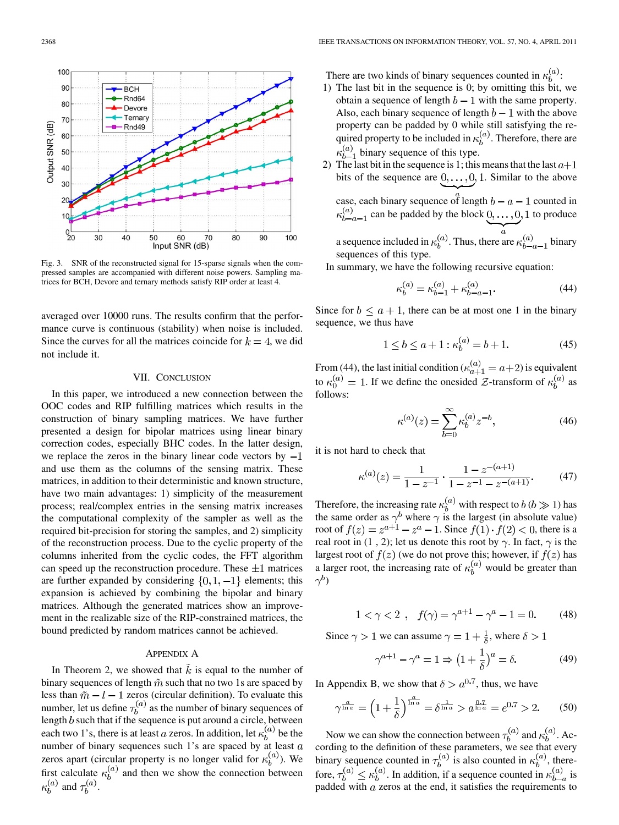

Fig. 3. SNR of the reconstructed signal for 15-sparse signals when the compressed samples are accompanied with different noise powers. Sampling matrices for BCH, Devore and ternary methods satisfy RIP order at least 4.

averaged over 10000 runs. The results confirm that the performance curve is continuous (stability) when noise is included. Since the curves for all the matrices coincide for  $k = 4$ , we did not include it.

### VII. CONCLUSION

In this paper, we introduced a new connection between the OOC codes and RIP fulfilling matrices which results in the construction of binary sampling matrices. We have further presented a design for bipolar matrices using linear binary correction codes, especially BHC codes. In the latter design, we replace the zeros in the binary linear code vectors by  $-1$ and use them as the columns of the sensing matrix. These matrices, in addition to their deterministic and known structure, have two main advantages: 1) simplicity of the measurement process; real/complex entries in the sensing matrix increases the computational complexity of the sampler as well as the required bit-precision for storing the samples, and 2) simplicity of the reconstruction process. Due to the cyclic property of the columns inherited from the cyclic codes, the FFT algorithm can speed up the reconstruction procedure. These  $\pm 1$  matrices are further expanded by considering  $\{0, 1, -1\}$  elements; this expansion is achieved by combining the bipolar and binary matrices. Although the generated matrices show an improvement in the realizable size of the RIP-constrained matrices, the bound predicted by random matrices cannot be achieved.

## APPENDIX A

In Theorem 2, we showed that  $\tilde{k}$  is equal to the number of binary sequences of length  $\tilde{m}$  such that no two 1s are spaced by less than  $\tilde{m} - l - 1$  zeros (circular definition). To evaluate this number, let us define  $\tau_b^{(u)}$  as the number of binary sequences of length  $b$  such that if the sequence is put around a circle, between each two 1's, there is at least a zeros. In addition, let  $\kappa_h^{(a)}$  be the number of binary sequences such  $1$ 's are spaced by at least  $a$ zeros apart (circular property is no longer valid for  $\kappa_h^{(a)}$ ). We first calculate  $\kappa_h^{(a)}$  and then we show the connection between  $\kappa_h^{(a)}$  and  $\tau_h^{(a)}$ .

There are two kinds of binary sequences counted in  $\kappa_h^{(a)}$ :

- 1) The last bit in the sequence is 0; by omitting this bit, we obtain a sequence of length  $b-1$  with the same property. Also, each binary sequence of length  $b-1$  with the above property can be padded by 0 while still satisfying the required property to be included in  $\kappa_b^{(a)}$ . Therefore, there are  $\kappa_{b-1}^{(a)}$  binary sequence of this type.
- The last bit in the sequence is 1; this means that the last  $a+1$ bits of the sequence are  $0, \ldots, 0, 1$ . Similar to the above case, each binary sequence of length  $b - a - 1$  counted in  $\kappa_{b-a-1}^{(a)}$  can be padded by the block  $\underline{0, \ldots, 0}$ , 1 to produce

a sequence included in  $\kappa_b^{(a)}$ . Thus, there are  $\kappa_{b-a-1}^{(a)}$  binary sequences of this type.

In summary, we have the following recursive equation:

$$
\kappa_b^{(a)} = \kappa_{b-1}^{(a)} + \kappa_{b-a-1}^{(a)}.
$$
\n(44)

Since for  $b \le a + 1$ , there can be at most one 1 in the binary sequence, we thus have

$$
1 \le b \le a + 1 : \kappa_b^{(a)} = b + 1. \tag{45}
$$

From (44), the last initial condition ( $\kappa_{a+1}^{(u)} = a+2$ ) is equivalent to  $\kappa_0^{(u)} = 1$ . If we define the onesided  $\mathcal{Z}$ -transform of  $\kappa_b^{(u)}$  as follows:

$$
\kappa^{(a)}(z) = \sum_{b=0}^{\infty} \kappa_b^{(a)} z^{-b},
$$
\n(46)

it is not hard to check that

$$
\kappa^{(a)}(z) = \frac{1}{1 - z^{-1}} \cdot \frac{1 - z^{-(a+1)}}{1 - z^{-1} - z^{-(a+1)}}.
$$
 (47)

Therefore, the increasing rate  $\kappa_h^{(a)}$  with respect to  $b (b \gg 1)$  has the same order as  $\gamma^b$  where  $\gamma$  is the largest (in absolute value) root of  $f(z) = z^{a+1} - z^a - 1$ . Since  $f(1) \cdot f(2) < 0$ , there is a real root in (1, 2); let us denote this root by  $\gamma$ . In fact,  $\gamma$  is the largest root of  $f(z)$  (we do not prove this; however, if  $f(z)$  has a larger root, the increasing rate of  $\kappa_h^{(a)}$  would be greater than  $\gamma^{b}$ )

$$
1 < \gamma < 2 \, , \, f(\gamma) = \gamma^{a+1} - \gamma^a - 1 = 0. \qquad (48)
$$

Since  $\gamma > 1$  we can assume  $\gamma = 1 + \frac{1}{\delta}$ , where  $\delta > 1$ 

$$
\gamma^{a+1} - \gamma^a = 1 \Rightarrow \left(1 + \frac{1}{\delta}\right)^a = \delta. \tag{49}
$$

In Appendix B, we show that  $\delta > a^{0.7}$ , thus, we have

$$
\gamma^{\frac{a}{\ln a}} = \left(1 + \frac{1}{\delta}\right)^{\frac{a}{\ln a}} = \delta^{\frac{1}{\ln a}} > a^{\frac{0.7}{\ln a}} = e^{0.7} > 2. \tag{50}
$$

Now we can show the connection between  $\tau_b^{(a)}$  and  $\kappa_b^{(a)}$ . According to the definition of these parameters, we see that every binary sequence counted in  $\tau_h^{(a)}$  is also counted in  $\kappa_h^{(a)}$ , therefore,  $\tau_b^{(a)} \leq \kappa_b^{(a)}$ . In addition, if a sequence counted in  $\kappa_{b-a}^{(a)}$  is padded with  $a$  zeros at the end, it satisfies the requirements to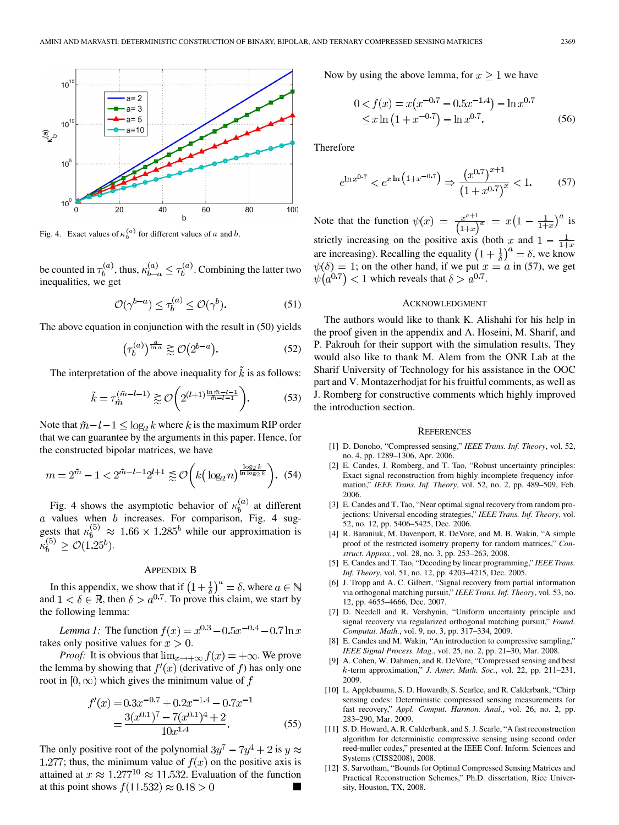

Fig. 4. Exact values of  $\kappa_b^{(a)}$  for different values of a and b.

be counted in  $\tau_b^{(a)}$ , thus,  $\kappa_{b-a}^{(a)} \leq \tau_b^{(a)}$ . Combining the latter two inequalities, we get

$$
\mathcal{O}(\gamma^{b-a}) \le \tau_b^{(a)} \le \mathcal{O}(\gamma^b). \tag{51}
$$

The above equation in conjunction with the result in (50) yields

$$
\left(\tau_b^{(a)}\right)^{\frac{a}{\ln a}} \gtrsim \mathcal{O}\left(2^{b-a}\right). \tag{52}
$$

The interpretation of the above inequality for  $\vec{k}$  is as follows:

$$
\tilde{k} = \tau_{\tilde{m}}^{(\tilde{m}-l-1)} \gtrsim \mathcal{O}\bigg(2^{(l+1)\frac{\ln \tilde{m}-l-1}{\tilde{m}-l-1}}\bigg). \tag{53}
$$

Note that  $\tilde{m} - l - 1 \leq \log_2 k$  where k is the maximum RIP order that we can guarantee by the arguments in this paper. Hence, for the constructed bipolar matrices, we have

$$
m = 2^{\tilde{m}} - 1 < 2^{\tilde{m} - l - 1} 2^{l+1} \lessapprox \mathcal{O}\left(k \left(\log_2 n\right)^{\frac{\log_2 k}{\ln \log_2 k}}\right). \tag{54}
$$

Fig. 4 shows the asymptotic behavior of  $\kappa_b^{(a)}$  at different values when  $b$  increases. For comparison, Fig. 4 suggests that  $\kappa_b^{(0)} \approx 1.66 \times 1.285^b$  while our approximation is  $\kappa_b^{(5)} \geq \mathcal{O}(1.25^b).$ 

## APPENDIX B

In this appendix, we show that if  $\left(1+\frac{1}{\delta}\right)^{\alpha} = \delta$ , where and  $1 < \delta \in \mathbb{R}$ , then  $\delta > a^{0.7}$ . To prove this claim, we start by the following lemma:

*Lemma 1:* The function  $f(x) = x^{0.3} - 0.5x^{-0.4} - 0.7 \ln x$ takes only positive values for  $x > 0$ .

*Proof:* It is obvious that  $\lim_{x\to+\infty} f(x) = +\infty$ . We prove the lemma by showing that  $f'(x)$  (derivative of f) has only one root in  $[0, \infty)$  which gives the minimum value of f

$$
f'(x) = 0.3x^{-0.7} + 0.2x^{-1.4} - 0.7x^{-1}
$$
  
= 
$$
\frac{3(x^{0.1})^7 - 7(x^{0.1})^4 + 2}{10x^{1.4}}.
$$
 (55)

The only positive root of the polynomial  $3y^7 - 7y^4 + 2$  is  $y \approx$ 1.277; thus, the minimum value of  $f(x)$  on the positive axis is attained at  $x \approx 1.277^{10} \approx 11.532$ . Evaluation of the function at this point shows  $f(11.532) \approx 0.18 > 0$ 

Now by using the above lemma, for  $x \ge 1$  we have

$$
0 < f(x) = x(x^{-0.7} - 0.5x^{-1.4}) - \ln x^{0.7}
$$
  
 
$$
\leq x \ln (1 + x^{-0.7}) - \ln x^{0.7}.
$$
 (56)

Therefore

$$
e^{\ln x^{0.7}} < e^{x \ln \left(1 + x^{-0.7}\right)} \Rightarrow \frac{\left(x^{0.7}\right)^{x+1}}{\left(1 + x^{0.7}\right)^x} < 1. \tag{57}
$$

Note that the function  $\psi(x) = \frac{x^{a+1}}{(1+x)^a} = x(1 - \frac{1}{1+x})^a$  is strictly increasing on the positive axis (both  $x$  and are increasing). Recalling the equality  $(1 + \frac{1}{\delta})^{\alpha} = \delta$ , we know  $\psi(\delta) = 1$ ; on the other hand, if we put  $x = a$  in (57), we get  $\psi(a^{0.7})$  < 1 which reveals that  $\delta > a^{0.7}$ .

#### ACKNOWLEDGMENT

The authors would like to thank K. Alishahi for his help in the proof given in the appendix and A. Hoseini, M. Sharif, and P. Pakrouh for their support with the simulation results. They would also like to thank M. Alem from the ONR Lab at the Sharif University of Technology for his assistance in the OOC part and V. Montazerhodjat for his fruitful comments, as well as J. Romberg for constructive comments which highly improved the introduction section.

#### **REFERENCES**

- [1] D. Donoho, "Compressed sensing," *IEEE Trans. Inf. Theory*, vol. 52, no. 4, pp. 1289–1306, Apr. 2006.
- [2] E. Candes, J. Romberg, and T. Tao, "Robust uncertainty principles: Exact signal reconstruction from highly incomplete frequency information," *IEEE Trans. Inf. Theory*, vol. 52, no. 2, pp. 489–509, Feb. 2006.
- [3] E. Candes and T. Tao, "Near optimal signal recovery from random projections: Universal encoding strategies," *IEEE Trans. Inf. Theory*, vol. 52, no. 12, pp. 5406–5425, Dec. 2006.
- [4] R. Baraniuk, M. Davenport, R. DeVore, and M. B. Wakin, "A simple proof of the restricted isometry property for random matrices," *Construct. Approx.*, vol. 28, no. 3, pp. 253–263, 2008.
- [5] E. Candes and T. Tao, "Decoding by linear programming," *IEEE Trans. Inf. Theory*, vol. 51, no. 12, pp. 4203–4215, Dec. 2005.
- [6] J. Tropp and A. C. Gilbert, "Signal recovery from partial information via orthogonal matching pursuit," *IEEE Trans. Inf. Theory*, vol. 53, no. 12, pp. 4655–4666, Dec. 2007.
- [7] D. Needell and R. Vershynin, "Uniform uncertainty principle and signal recovery via regularized orthogonal matching pursuit," *Found. Computat. Math.*, vol. 9, no. 3, pp. 317–334, 2009.
- [8] E. Candes and M. Wakin, "An introduction to compressive sampling," *IEEE Signal Process. Mag.*, vol. 25, no. 2, pp. 21–30, Mar. 2008.
- [9] A. Cohen, W. Dahmen, and R. DeVore, "Compressed sensing and best -term approximation," *J. Amer. Math. Soc.*, vol. 22, pp. 211–231, 2009.
- [10] L. Applebauma, S. D. Howardb, S. Searlec, and R. Calderbank, "Chirp sensing codes: Deterministic compressed sensing measurements for fast recovery," *Appl. Comput. Harmon. Anal.*, vol. 26, no. 2, pp. 283–290, Mar. 2009.
- [11] S. D. Howard, A. R. Calderbank, and S. J. Searle, "A fast reconstruction algorithm for deterministic compressive sensing using second order reed-muller codes," presented at the IEEE Conf. Inform. Sciences and Systems (CISS2008), 2008.
- [12] S. Sarvotham, "Bounds for Optimal Compressed Sensing Matrices and Practical Reconstruction Schemes," Ph.D. dissertation, Rice University, Houston, TX, 2008.